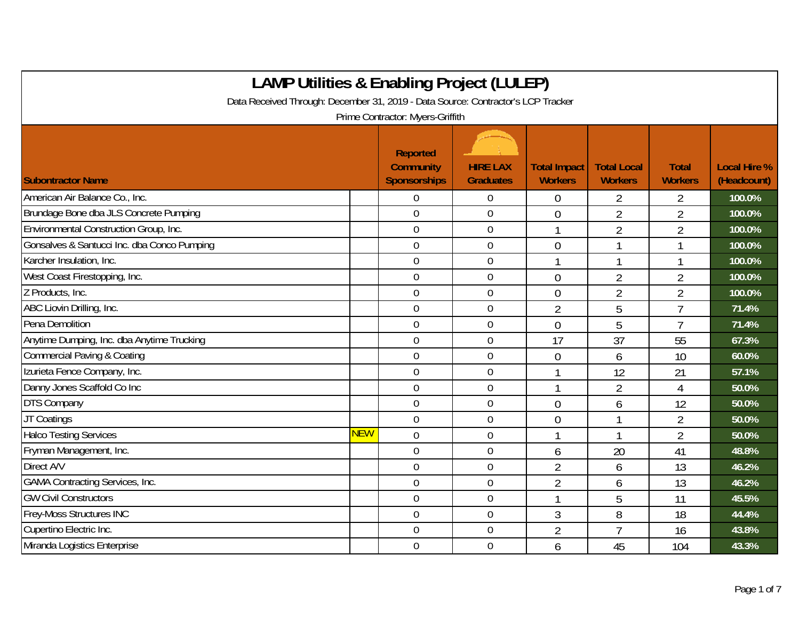| <b>LAMP Utilities &amp; Enabling Project (LULEP)</b>                                                                 |     |                                              |                                     |                                       |                                      |                                |                                    |  |
|----------------------------------------------------------------------------------------------------------------------|-----|----------------------------------------------|-------------------------------------|---------------------------------------|--------------------------------------|--------------------------------|------------------------------------|--|
| Data Received Through: December 31, 2019 - Data Source: Contractor's LCP Tracker<br>Prime Contractor: Myers-Griffith |     |                                              |                                     |                                       |                                      |                                |                                    |  |
| <b>Subontractor Name</b>                                                                                             |     | Reported<br><b>Community</b><br>Sponsorships | <b>HIRE LAX</b><br><b>Graduates</b> | <b>Total Impact</b><br><b>Workers</b> | <b>Total Local</b><br><b>Workers</b> | <b>Total</b><br><b>Workers</b> | <b>Local Hire %</b><br>(Headcount) |  |
| American Air Balance Co., Inc.                                                                                       |     | $\Omega$                                     | $\mathbf 0$                         | 0                                     | $\overline{2}$                       | 2                              | 100.0%                             |  |
| Brundage Bone dba JLS Concrete Pumping                                                                               |     | $\overline{0}$                               | $\boldsymbol{0}$                    | $\overline{0}$                        | $\overline{2}$                       | $\overline{2}$                 | 100.0%                             |  |
| Environmental Construction Group, Inc.                                                                               |     | $\overline{0}$                               | $\mathbf 0$                         | $\mathbf{1}$                          | $\overline{2}$                       | $\overline{2}$                 | 100.0%                             |  |
| Gonsalves & Santucci Inc. dba Conco Pumping                                                                          |     | $\mathbf 0$                                  | $\boldsymbol{0}$                    | $\overline{0}$                        | 1                                    |                                | 100.0%                             |  |
| Karcher Insulation, Inc.                                                                                             |     | $\mathbf 0$                                  | $\mathbf 0$                         |                                       | $\mathbf{1}$                         |                                | 100.0%                             |  |
| West Coast Firestopping, Inc.                                                                                        |     | $\mathbf 0$                                  | $\boldsymbol{0}$                    | $\overline{0}$                        | $\overline{2}$                       | $\overline{2}$                 | 100.0%                             |  |
| Z Products, Inc.                                                                                                     |     | $\mathbf 0$                                  | $\boldsymbol{0}$                    | $\mathbf 0$                           | $\overline{2}$                       | $\overline{2}$                 | 100.0%                             |  |
| ABC Liovin Drilling, Inc.                                                                                            |     | $\overline{0}$                               | $\overline{0}$                      | $\overline{2}$                        | 5                                    | $\overline{7}$                 | 71.4%                              |  |
| Pena Demolition                                                                                                      |     | $\overline{0}$                               | $\mathbf 0$                         | $\overline{0}$                        | 5                                    | $\overline{1}$                 | 71.4%                              |  |
| Anytime Dumping, Inc. dba Anytime Trucking                                                                           |     | $\overline{0}$                               | $\overline{0}$                      | 17                                    | 37                                   | 55                             | 67.3%                              |  |
| <b>Commercial Paving &amp; Coating</b>                                                                               |     | $\mathbf 0$                                  | $\mathbf 0$                         | $\overline{0}$                        | 6                                    | 10                             | 60.0%                              |  |
| Izurieta Fence Company, Inc.                                                                                         |     | $\mathbf 0$                                  | $\mathbf 0$                         |                                       | 12                                   | 21                             | 57.1%                              |  |
| Danny Jones Scaffold Co Inc                                                                                          |     | $\overline{0}$                               | $\mathbf 0$                         |                                       | $\overline{2}$                       | 4                              | 50.0%                              |  |
| <b>DTS Company</b>                                                                                                   |     | $\overline{0}$                               | $\mathbf 0$                         | $\overline{0}$                        | 6                                    | 12                             | 50.0%                              |  |
| JT Coatings                                                                                                          |     | $\overline{0}$                               | $\mathbf 0$                         | $\overline{0}$                        | 1                                    | $\overline{2}$                 | 50.0%                              |  |
| <b>Halco Testing Services</b>                                                                                        | NEW | $\mathbf 0$                                  | $\boldsymbol{0}$                    |                                       |                                      | $\overline{2}$                 | 50.0%                              |  |
| Fryman Management, Inc.                                                                                              |     | $\mathbf 0$                                  | $\mathbf 0$                         | 6                                     | 20                                   | 41                             | 48.8%                              |  |
| Direct A/V                                                                                                           |     | $\mathbf 0$                                  | $\boldsymbol{0}$                    | $\overline{2}$                        | 6                                    | 13                             | 46.2%                              |  |
| <b>GAMA Contracting Services, Inc.</b>                                                                               |     | $\mathbf 0$                                  | $\mathbf 0$                         | $\overline{2}$                        | 6                                    | 13                             | 46.2%                              |  |
| <b>GW Civil Constructors</b>                                                                                         |     | $\overline{0}$                               | $\mathbf 0$                         |                                       | 5                                    | 11                             | 45.5%                              |  |
| Frey-Moss Structures INC                                                                                             |     | $\overline{0}$                               | $\mathbf 0$                         | $\mathfrak{Z}$                        | 8                                    | 18                             | 44.4%                              |  |
| Cupertino Electric Inc.                                                                                              |     | $\overline{0}$                               | $\mathbf 0$                         | $\overline{2}$                        | $\overline{7}$                       | 16                             | 43.8%                              |  |
| Miranda Logistics Enterprise                                                                                         |     | $\overline{0}$                               | $\mathbf 0$                         | 6                                     | 45                                   | 104                            | 43.3%                              |  |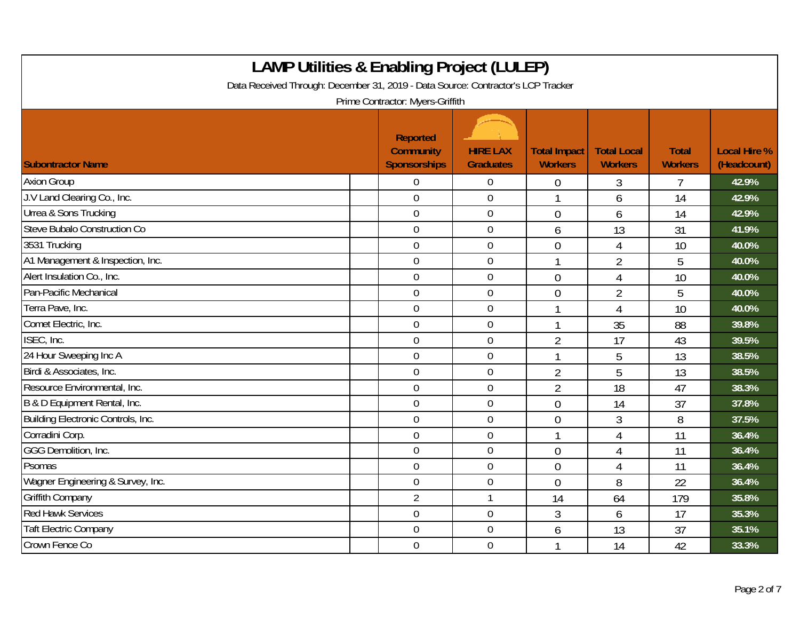| <b>LAMP Utilities &amp; Enabling Project (LULEP)</b><br>Data Received Through: December 31, 2019 - Data Source: Contractor's LCP Tracker<br>Prime Contractor: Myers-Griffith |                                                     |                                     |                                       |                                      |                                |                                    |  |  |
|------------------------------------------------------------------------------------------------------------------------------------------------------------------------------|-----------------------------------------------------|-------------------------------------|---------------------------------------|--------------------------------------|--------------------------------|------------------------------------|--|--|
| <b>Subontractor Name</b>                                                                                                                                                     | Reported<br><b>Community</b><br><b>Sponsorships</b> | <b>HIRE LAX</b><br><b>Graduates</b> | <b>Total Impact</b><br><b>Workers</b> | <b>Total Local</b><br><b>Workers</b> | <b>Total</b><br><b>Workers</b> | <b>Local Hire %</b><br>(Headcount) |  |  |
| <b>Axion Group</b>                                                                                                                                                           | $\Omega$                                            | $\boldsymbol{0}$                    | 0                                     | 3                                    | 7                              | 42.9%                              |  |  |
| J.V Land Clearing Co., Inc.                                                                                                                                                  | $\overline{0}$                                      | $\overline{0}$                      |                                       | 6                                    | 14                             | 42.9%                              |  |  |
| Urrea & Sons Trucking                                                                                                                                                        | $\boldsymbol{0}$                                    | $\boldsymbol{0}$                    | $\overline{0}$                        | 6                                    | 14                             | 42.9%                              |  |  |
| Steve Bubalo Construction Co                                                                                                                                                 | $\mathbf 0$                                         | $\boldsymbol{0}$                    | 6                                     | 13                                   | 31                             | 41.9%                              |  |  |
| 3531 Trucking                                                                                                                                                                | $\mathbf 0$                                         | $\mathbf 0$                         | $\overline{0}$                        | 4                                    | 10                             | 40.0%                              |  |  |
| A1 Management & Inspection, Inc.                                                                                                                                             | $\mathbf 0$                                         | $\mathbf 0$                         |                                       | $\overline{2}$                       | 5                              | 40.0%                              |  |  |
| Alert Insulation Co., Inc.                                                                                                                                                   | $\overline{0}$                                      | $\mathbf 0$                         | $\overline{0}$                        | $\overline{4}$                       | 10                             | 40.0%                              |  |  |
| Pan-Pacific Mechanical                                                                                                                                                       | $\overline{0}$                                      | $\overline{0}$                      | $\overline{0}$                        | $\overline{2}$                       | 5                              | 40.0%                              |  |  |
| Terra Pave, Inc.                                                                                                                                                             | $\overline{0}$                                      | $\mathbf 0$                         |                                       | 4                                    | 10                             | 40.0%                              |  |  |
| Comet Electric, Inc.                                                                                                                                                         | $\boldsymbol{0}$                                    | $\boldsymbol{0}$                    | $\mathbf{1}$                          | 35                                   | 88                             | 39.8%                              |  |  |
| ISEC, Inc.                                                                                                                                                                   | $\mathbf 0$                                         | $\overline{0}$                      | $\overline{2}$                        | 17                                   | 43                             | 39.5%                              |  |  |
| 24 Hour Sweeping Inc A                                                                                                                                                       | $\mathbf 0$                                         | $\mathbf 0$                         |                                       | 5                                    | 13                             | 38.5%                              |  |  |
| Birdi & Associates, Inc.                                                                                                                                                     | $\mathbf 0$                                         | $\mathbf 0$                         | $\overline{2}$                        | 5                                    | 13                             | 38.5%                              |  |  |
| Resource Environmental, Inc.                                                                                                                                                 | $\overline{0}$                                      | $\mathbf 0$                         | $\overline{2}$                        | 18                                   | 47                             | 38.3%                              |  |  |
| B & D Equipment Rental, Inc.                                                                                                                                                 | $\mathbf 0$                                         | $\mathbf 0$                         | $\theta$                              | 14                                   | 37                             | 37.8%                              |  |  |
| Building Electronic Controls, Inc.                                                                                                                                           | $\mathbf 0$                                         | $\mathbf 0$                         | $\overline{0}$                        | 3                                    | 8                              | 37.5%                              |  |  |
| Corradini Corp.                                                                                                                                                              | $\mathbf 0$                                         | $\mathbf 0$                         |                                       | 4                                    | 11                             | 36.4%                              |  |  |
| GGG Demolition, Inc.                                                                                                                                                         | $\mathbf 0$                                         | $\mathbf 0$                         | $\overline{0}$                        | 4                                    | 11                             | 36.4%                              |  |  |
| Psomas                                                                                                                                                                       | $\mathbf 0$                                         | $\mathbf 0$                         | $\overline{0}$                        | $\overline{4}$                       | 11                             | 36.4%                              |  |  |
| Wagner Engineering & Survey, Inc.                                                                                                                                            | $\mathbf 0$                                         | $\boldsymbol{0}$                    | $\overline{0}$                        | 8                                    | 22                             | 36.4%                              |  |  |
| <b>Griffith Company</b>                                                                                                                                                      | $\overline{2}$                                      | $\mathbf{1}$                        | 14                                    | 64                                   | 179                            | 35.8%                              |  |  |
| <b>Red Hawk Services</b>                                                                                                                                                     | $\overline{0}$                                      | $\mathbf 0$                         | 3                                     | 6                                    | 17                             | 35.3%                              |  |  |
| <b>Taft Electric Company</b>                                                                                                                                                 | $\overline{0}$                                      | $\boldsymbol{0}$                    | 6                                     | 13                                   | 37                             | 35.1%                              |  |  |
| Crown Fence Co                                                                                                                                                               | $\mathbf 0$                                         | 0                                   |                                       | 14                                   | 42                             | 33.3%                              |  |  |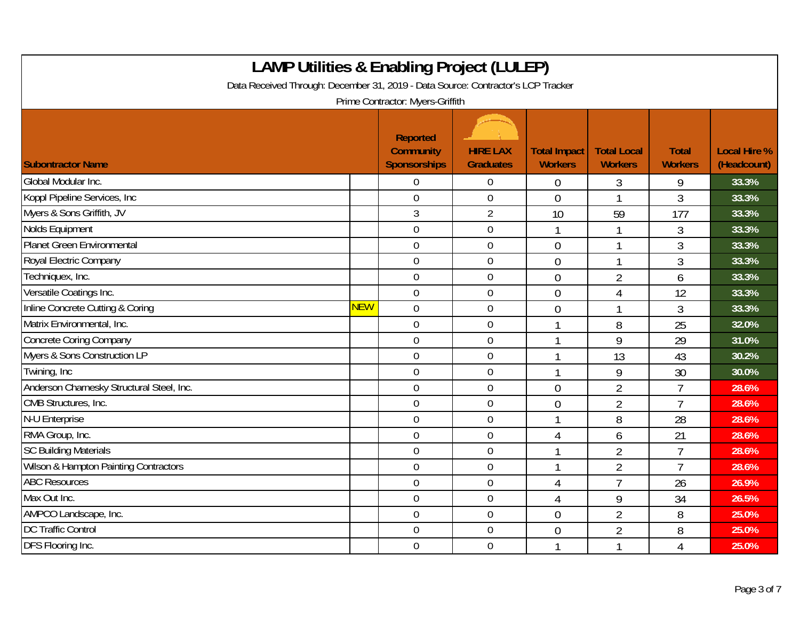| <b>LAMP Utilities &amp; Enabling Project (LULEP)</b><br>Data Received Through: December 31, 2019 - Data Source: Contractor's LCP Tracker<br>Prime Contractor: Myers-Griffith |            |                                                     |                                     |                                       |                                      |                                |                                    |  |
|------------------------------------------------------------------------------------------------------------------------------------------------------------------------------|------------|-----------------------------------------------------|-------------------------------------|---------------------------------------|--------------------------------------|--------------------------------|------------------------------------|--|
| <b>Subontractor Name</b>                                                                                                                                                     |            | Reported<br><b>Community</b><br><b>Sponsorships</b> | <b>HIRE LAX</b><br><b>Graduates</b> | <b>Total Impact</b><br><b>Workers</b> | <b>Total Local</b><br><b>Workers</b> | <b>Total</b><br><b>Workers</b> | <b>Local Hire %</b><br>(Headcount) |  |
| Global Modular Inc.                                                                                                                                                          |            | 0                                                   | 0                                   | $\boldsymbol{0}$                      | 3                                    | 9                              | 33.3%                              |  |
| Koppl Pipeline Services, Inc                                                                                                                                                 |            | $\mathbf 0$                                         | $\mathbf 0$                         | $\overline{0}$                        | 1                                    | 3                              | 33.3%                              |  |
| Myers & Sons Griffith, JV                                                                                                                                                    |            | 3                                                   | $\overline{2}$                      | 10                                    | 59                                   | 177                            | 33.3%                              |  |
| Nolds Equipment                                                                                                                                                              |            | $\overline{0}$                                      | $\mathbf 0$                         |                                       | 1                                    | 3                              | 33.3%                              |  |
| Planet Green Environmental                                                                                                                                                   |            | $\overline{0}$                                      | $\overline{0}$                      | $\overline{0}$                        | 1                                    | 3                              | 33.3%                              |  |
| Royal Electric Company                                                                                                                                                       |            | $\mathbf 0$                                         | $\boldsymbol{0}$                    | $\theta$                              | -1                                   | 3                              | 33.3%                              |  |
| Techniquex, Inc.                                                                                                                                                             |            | $\overline{0}$                                      | $\mathbf 0$                         | $\overline{0}$                        | $\overline{2}$                       | 6                              | 33.3%                              |  |
| Versatile Coatings Inc.                                                                                                                                                      |            | $\overline{0}$                                      | $\overline{0}$                      | $\overline{0}$                        | 4                                    | 12                             | 33.3%                              |  |
| Inline Concrete Cutting & Coring                                                                                                                                             | <b>NEW</b> | $\mathbf 0$                                         | $\boldsymbol{0}$                    | $\theta$                              | $\mathbf 1$                          | 3                              | 33.3%                              |  |
| Matrix Environmental, Inc.                                                                                                                                                   |            | $\mathbf 0$                                         | $\boldsymbol{0}$                    |                                       | 8                                    | 25                             | 32.0%                              |  |
| Concrete Coring Company                                                                                                                                                      |            | $\overline{0}$                                      | 0                                   |                                       | 9                                    | 29                             | 31.0%                              |  |
| Myers & Sons Construction LP                                                                                                                                                 |            | $\overline{0}$                                      | $\boldsymbol{0}$                    |                                       | 13                                   | 43                             | 30.2%                              |  |
| Twining, Inc.                                                                                                                                                                |            | $\mathbf 0$                                         | $\mathbf 0$                         |                                       | 9                                    | 30                             | 30.0%                              |  |
| Anderson Charnesky Structural Steel, Inc.                                                                                                                                    |            | $\overline{0}$                                      | $\mathbf 0$                         | $\overline{0}$                        | $\overline{2}$                       | $\overline{1}$                 | 28.6%                              |  |
| CMB Structures, Inc.                                                                                                                                                         |            | $\boldsymbol{0}$                                    | $\boldsymbol{0}$                    | $\overline{0}$                        | $\overline{2}$                       | $\overline{7}$                 | 28.6%                              |  |
| N-U Enterprise                                                                                                                                                               |            | $\mathbf 0$                                         | $\boldsymbol{0}$                    |                                       | 8                                    | 28                             | 28.6%                              |  |
| RMA Group, Inc.                                                                                                                                                              |            | $\overline{0}$                                      | 0                                   | 4                                     | 6                                    | 21                             | 28.6%                              |  |
| <b>SC Building Materials</b>                                                                                                                                                 |            | $\overline{0}$                                      | $\boldsymbol{0}$                    |                                       | $\overline{2}$                       | $\overline{7}$                 | 28.6%                              |  |
| Wilson & Hampton Painting Contractors                                                                                                                                        |            | $\mathbf 0$                                         | $\mathbf 0$                         |                                       | $\overline{2}$                       | $\overline{7}$                 | 28.6%                              |  |
| <b>ABC Resources</b>                                                                                                                                                         |            | $\overline{0}$                                      | $\mathbf 0$                         | 4                                     | $\overline{7}$                       | 26                             | 26.9%                              |  |
| Max Out Inc.                                                                                                                                                                 |            | $\mathbf 0$                                         | $\mathbf 0$                         | $\overline{4}$                        | $\boldsymbol{9}$                     | 34                             | 26.5%                              |  |
| AMPCO Landscape, Inc.                                                                                                                                                        |            | $\mathbf 0$                                         | $\mathbf 0$                         | $\mathbf 0$                           | $\overline{2}$                       | 8                              | 25.0%                              |  |
| <b>DC Traffic Control</b>                                                                                                                                                    |            | $\mathbf 0$                                         | $\mathbf 0$                         | $\overline{0}$                        | $\overline{2}$                       | 8                              | 25.0%                              |  |
| <b>DFS Flooring Inc.</b>                                                                                                                                                     |            | $\overline{0}$                                      | $\mathbf 0$                         |                                       | $\mathbf{1}$                         | 4                              | 25.0%                              |  |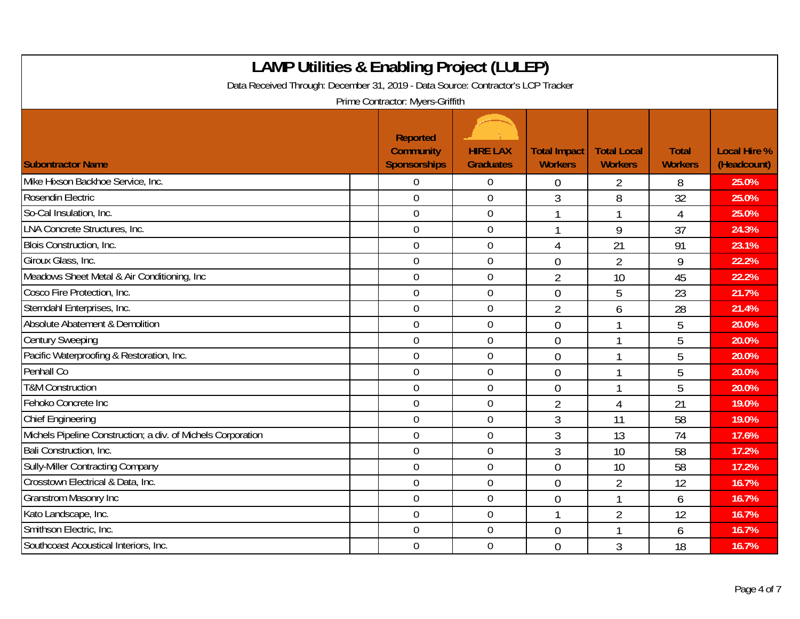| <b>LAMP Utilities &amp; Enabling Project (LULEP)</b><br>Data Received Through: December 31, 2019 - Data Source: Contractor's LCP Tracker<br>Prime Contractor: Myers-Griffith |                                                     |                                     |                                       |                                      |                                |                                    |  |  |
|------------------------------------------------------------------------------------------------------------------------------------------------------------------------------|-----------------------------------------------------|-------------------------------------|---------------------------------------|--------------------------------------|--------------------------------|------------------------------------|--|--|
| <b>Subontractor Name</b>                                                                                                                                                     | Reported<br><b>Community</b><br><b>Sponsorships</b> | <b>HIRE LAX</b><br><b>Graduates</b> | <b>Total Impact</b><br><b>Workers</b> | <b>Total Local</b><br><b>Workers</b> | <b>Total</b><br><b>Workers</b> | <b>Local Hire %</b><br>(Headcount) |  |  |
| Mike Hixson Backhoe Service, Inc.                                                                                                                                            | 0                                                   | $\overline{0}$                      | $\overline{0}$                        | 2                                    | 8                              | 25.0%                              |  |  |
| Rosendin Electric                                                                                                                                                            | $\overline{0}$                                      | $\overline{0}$                      | 3                                     | 8                                    | 32                             | 25.0%                              |  |  |
| So-Cal Insulation, Inc.                                                                                                                                                      | $\overline{0}$                                      | $\boldsymbol{0}$                    | $\mathbf 1$                           |                                      | 4                              | 25.0%                              |  |  |
| <b>LNA Concrete Structures, Inc.</b>                                                                                                                                         | $\mathbf 0$                                         | $\mathbf 0$                         | $\mathbf 1$                           | 9                                    | 37                             | 24.3%                              |  |  |
| Blois Construction, Inc.                                                                                                                                                     | $\overline{0}$                                      | $\overline{0}$                      | $\overline{4}$                        | 21                                   | 91                             | 23.1%                              |  |  |
| Giroux Glass, Inc.                                                                                                                                                           | $\overline{0}$                                      | $\boldsymbol{0}$                    | $\overline{0}$                        | $\overline{2}$                       | 9                              | 22.2%                              |  |  |
| Meadows Sheet Metal & Air Conditioning, Inc                                                                                                                                  | $\mathbf 0$                                         | $\mathbf 0$                         | $\overline{2}$                        | 10                                   | 45                             | 22.2%                              |  |  |
| Cosco Fire Protection, Inc.                                                                                                                                                  | $\overline{0}$                                      | $\mathbf 0$                         | $\overline{0}$                        | 5                                    | 23                             | 21.7%                              |  |  |
| Sterndahl Enterprises, Inc.                                                                                                                                                  | $\overline{0}$                                      | $\mathbf 0$                         | $\overline{2}$                        | 6                                    | 28                             | 21.4%                              |  |  |
| Absolute Abatement & Demolition                                                                                                                                              | $\mathbf 0$                                         | $\mathbf 0$                         | $\overline{0}$                        |                                      | 5                              | 20.0%                              |  |  |
| <b>Century Sweeping</b>                                                                                                                                                      | $\overline{0}$                                      | $\mathbf 0$                         | $\overline{0}$                        |                                      | 5                              | 20.0%                              |  |  |
| Pacific Waterproofing & Restoration, Inc.                                                                                                                                    | $\overline{0}$                                      | $\mathbf 0$                         | $\overline{0}$                        |                                      | 5                              | 20.0%                              |  |  |
| Penhall Co                                                                                                                                                                   | $\overline{0}$                                      | $\overline{0}$                      | $\overline{0}$                        |                                      | 5                              | 20.0%                              |  |  |
| <b>T&amp;M Construction</b>                                                                                                                                                  | $\overline{0}$                                      | $\mathbf 0$                         | $\overline{0}$                        |                                      | 5                              | 20.0%                              |  |  |
| Fehoko Concrete Inc                                                                                                                                                          | $\mathbf 0$                                         | $\mathbf 0$                         | $\overline{2}$                        | 4                                    | 21                             | 19.0%                              |  |  |
| <b>Chief Engineering</b>                                                                                                                                                     | $\mathbf 0$                                         | $\mathbf 0$                         | 3                                     | 11                                   | 58                             | 19.0%                              |  |  |
| Michels Pipeline Construction; a div. of Michels Corporation                                                                                                                 | $\overline{0}$                                      | $\mathbf 0$                         | $\mathfrak{Z}$                        | 13                                   | 74                             | 17.6%                              |  |  |
| Bali Construction, Inc.                                                                                                                                                      | $\mathbf 0$                                         | $\mathbf 0$                         | $\mathfrak{Z}$                        | 10                                   | 58                             | 17.2%                              |  |  |
| <b>Sully-Miller Contracting Company</b>                                                                                                                                      | $\mathbf 0$                                         | $\overline{0}$                      | $\overline{0}$                        | 10                                   | 58                             | 17.2%                              |  |  |
| Crosstown Electrical & Data, Inc.                                                                                                                                            | $\overline{0}$                                      | $\overline{0}$                      | $\Omega$                              | $\overline{2}$                       | 12                             | 16.7%                              |  |  |
| Granstrom Masonry Inc                                                                                                                                                        | $\mathbf 0$                                         | $\boldsymbol{0}$                    | $\overline{0}$                        |                                      | 6                              | 16.7%                              |  |  |
| Kato Landscape, Inc.                                                                                                                                                         | $\overline{0}$                                      | $\mathbf 0$                         | $\mathbf{1}$                          | $\overline{2}$                       | 12                             | 16.7%                              |  |  |
| Smithson Electric, Inc.                                                                                                                                                      | $\overline{0}$                                      | $\mathbf 0$                         | $\overline{0}$                        |                                      | 6                              | 16.7%                              |  |  |
| Southcoast Acoustical Interiors, Inc.                                                                                                                                        | $\mathbf 0$                                         | $\mathbf 0$                         | $\overline{0}$                        | $\mathfrak{Z}$                       | 18                             | 16.7%                              |  |  |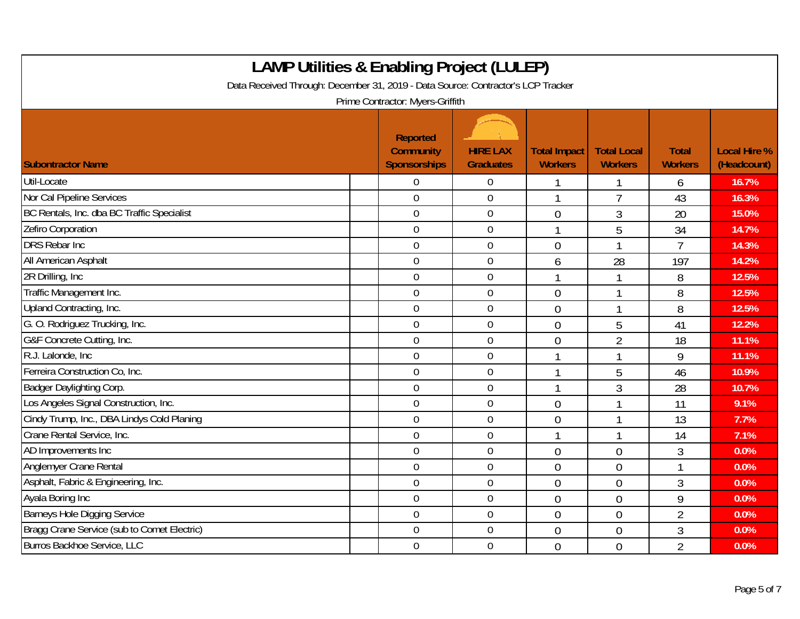| <b>LAMP Utilities &amp; Enabling Project (LULEP)</b><br>Data Received Through: December 31, 2019 - Data Source: Contractor's LCP Tracker<br>Prime Contractor: Myers-Griffith |                                              |                                     |                                       |                                      |                                |                                    |  |  |
|------------------------------------------------------------------------------------------------------------------------------------------------------------------------------|----------------------------------------------|-------------------------------------|---------------------------------------|--------------------------------------|--------------------------------|------------------------------------|--|--|
| <b>Subontractor Name</b>                                                                                                                                                     | Reported<br><b>Community</b><br>Sponsorships | <b>HIRE LAX</b><br><b>Graduates</b> | <b>Total Impact</b><br><b>Workers</b> | <b>Total Local</b><br><b>Workers</b> | <b>Total</b><br><b>Workers</b> | <b>Local Hire %</b><br>(Headcount) |  |  |
| Util-Locate                                                                                                                                                                  | $\Omega$                                     | $\overline{0}$                      | 1                                     |                                      | 6                              | 16.7%                              |  |  |
| Nor Cal Pipeline Services                                                                                                                                                    | $\mathbf 0$                                  | $\mathbf 0$                         | $\mathbf{1}$                          | $\overline{7}$                       | 43                             | 16.3%                              |  |  |
| BC Rentals, Inc. dba BC Traffic Specialist                                                                                                                                   | $\overline{0}$                               | $\boldsymbol{0}$                    | $\overline{0}$                        | 3                                    | 20                             | 15.0%                              |  |  |
| Zefiro Corporation                                                                                                                                                           | $\overline{0}$                               | $\mathbf 0$                         | $\mathbf 1$                           | 5                                    | 34                             | 14.7%                              |  |  |
| <b>DRS Rebar Inc.</b>                                                                                                                                                        | $\mathbf 0$                                  | $\mathbf 0$                         | $\overline{0}$                        |                                      | $\overline{7}$                 | 14.3%                              |  |  |
| All American Asphalt                                                                                                                                                         | $\mathbf 0$                                  | $\boldsymbol{0}$                    | 6                                     | 28                                   | 197                            | 14.2%                              |  |  |
| 2R Drilling, Inc.                                                                                                                                                            | $\overline{0}$                               | $\mathbf 0$                         |                                       |                                      | 8                              | 12.5%                              |  |  |
| Traffic Management Inc.                                                                                                                                                      | $\mathbf 0$                                  | $\mathbf 0$                         | $\overline{0}$                        |                                      | 8                              | 12.5%                              |  |  |
| Upland Contracting, Inc.                                                                                                                                                     | $\mathbf 0$                                  | $\boldsymbol{0}$                    | $\overline{0}$                        | 1                                    | 8                              | 12.5%                              |  |  |
| G. O. Rodriguez Trucking, Inc.                                                                                                                                               | $\overline{0}$                               | $\mathbf 0$                         | $\theta$                              | 5                                    | 41                             | 12.2%                              |  |  |
| G&F Concrete Cutting, Inc.                                                                                                                                                   | $\overline{0}$                               | $\mathbf 0$                         | $\overline{0}$                        | $\overline{2}$                       | 18                             | 11.1%                              |  |  |
| R.J. Lalonde, Inc.                                                                                                                                                           | $\overline{0}$                               | $\mathbf 0$                         | $\mathbf{1}$                          |                                      | 9                              | 11.1%                              |  |  |
| Ferreira Construction Co, Inc.                                                                                                                                               | $\overline{0}$                               | $\mathbf 0$                         | 1                                     | 5                                    | 46                             | 10.9%                              |  |  |
| Badger Daylighting Corp.                                                                                                                                                     | $\overline{0}$                               | $\mathbf 0$                         | 1                                     | 3                                    | 28                             | 10.7%                              |  |  |
| Los Angeles Signal Construction, Inc.                                                                                                                                        | $\mathbf 0$                                  | $\boldsymbol{0}$                    | $\overline{0}$                        | 1                                    | 11                             | 9.1%                               |  |  |
| Cindy Trump, Inc., DBA Lindys Cold Planing                                                                                                                                   | $\overline{0}$                               | $\mathbf 0$                         | $\overline{0}$                        |                                      | 13                             | 7.7%                               |  |  |
| Crane Rental Service, Inc.                                                                                                                                                   | $\overline{0}$                               | $\mathbf 0$                         | 1                                     |                                      | 14                             | 7.1%                               |  |  |
| AD Improvements Inc                                                                                                                                                          | $\mathbf 0$                                  | $\mathbf 0$                         | $\overline{0}$                        | $\overline{0}$                       | 3                              | 0.0%                               |  |  |
| Anglemyer Crane Rental                                                                                                                                                       | $\overline{0}$                               | $\mathbf 0$                         | $\overline{0}$                        | $\overline{0}$                       | 1                              | 0.0%                               |  |  |
| Asphalt, Fabric & Engineering, Inc.                                                                                                                                          | $\overline{0}$                               | $\mathbf 0$                         | $\overline{0}$                        | $\overline{0}$                       | 3                              | 0.0%                               |  |  |
| Ayala Boring Inc                                                                                                                                                             | $\overline{0}$                               | $\boldsymbol{0}$                    | $\overline{0}$                        | $\overline{0}$                       | 9                              | 0.0%                               |  |  |
| Barneys Hole Digging Service                                                                                                                                                 | $\boldsymbol{0}$                             | $\mathbf 0$                         | $\overline{0}$                        | $\overline{0}$                       | $\overline{2}$                 | 0.0%                               |  |  |
| Bragg Crane Service (sub to Comet Electric)                                                                                                                                  | $\overline{0}$                               | $\mathbf 0$                         | $\theta$                              | $\overline{0}$                       | 3                              | 0.0%                               |  |  |
| Burros Backhoe Service, LLC                                                                                                                                                  | $\overline{0}$                               | $\overline{0}$                      | $\overline{0}$                        | $\overline{0}$                       | $\overline{2}$                 | 0.0%                               |  |  |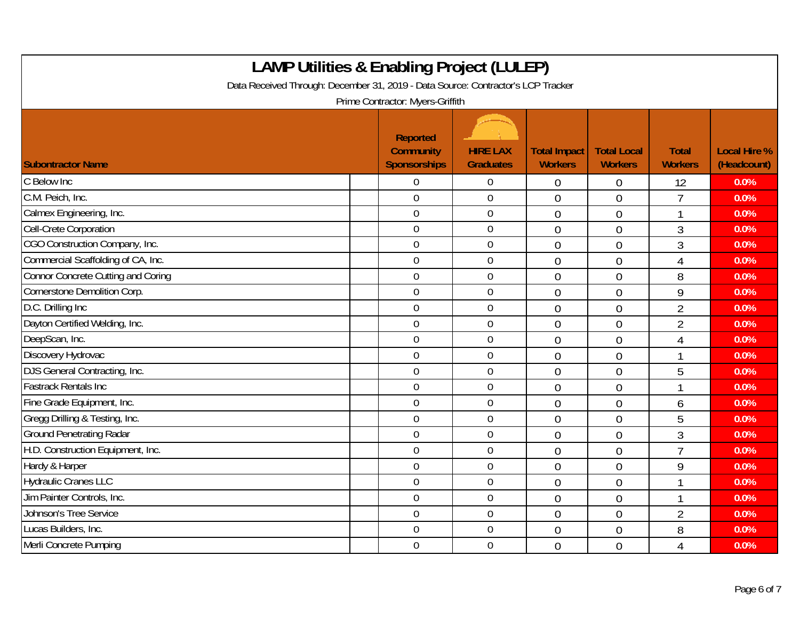| <b>LAMP Utilities &amp; Enabling Project (LULEP)</b><br>Data Received Through: December 31, 2019 - Data Source: Contractor's LCP Tracker<br>Prime Contractor: Myers-Griffith |                                              |                                     |                                       |                                      |                                |                                    |  |  |
|------------------------------------------------------------------------------------------------------------------------------------------------------------------------------|----------------------------------------------|-------------------------------------|---------------------------------------|--------------------------------------|--------------------------------|------------------------------------|--|--|
| <b>Subontractor Name</b>                                                                                                                                                     | Reported<br><b>Community</b><br>Sponsorships | <b>HIRE LAX</b><br><b>Graduates</b> | <b>Total Impact</b><br><b>Workers</b> | <b>Total Local</b><br><b>Workers</b> | <b>Total</b><br><b>Workers</b> | <b>Local Hire %</b><br>(Headcount) |  |  |
| C Below Inc                                                                                                                                                                  | $\overline{0}$                               | 0                                   | $\overline{0}$                        | $\overline{0}$                       | 12                             | 0.0%                               |  |  |
| C.M. Peich, Inc.                                                                                                                                                             | $\overline{0}$                               | $\mathbf 0$                         | $\theta$                              | $\overline{0}$                       | $\overline{1}$                 | 0.0%                               |  |  |
| Calmex Engineering, Inc.                                                                                                                                                     | $\mathbf 0$                                  | $\boldsymbol{0}$                    | $\overline{0}$                        | $\overline{0}$                       | 1                              | 0.0%                               |  |  |
| Cell-Crete Corporation                                                                                                                                                       | $\overline{0}$                               | $\boldsymbol{0}$                    | $\overline{0}$                        | $\overline{0}$                       | 3                              | 0.0%                               |  |  |
| CGO Construction Company, Inc.                                                                                                                                               | $\mathbf 0$                                  | $\mathbf 0$                         | $\overline{0}$                        | $\overline{0}$                       | 3                              | 0.0%                               |  |  |
| Commercial Scaffolding of CA, Inc.                                                                                                                                           | $\overline{0}$                               | $\boldsymbol{0}$                    | $\theta$                              | $\overline{0}$                       | $\overline{4}$                 | 0.0%                               |  |  |
| Connor Concrete Cutting and Coring                                                                                                                                           | $\overline{0}$                               | $\mathbf 0$                         | $\theta$                              | $\overline{0}$                       | 8                              | 0.0%                               |  |  |
| Cornerstone Demolition Corp.                                                                                                                                                 | $\mathbf 0$                                  | $\mathbf 0$                         | $\overline{0}$                        | $\theta$                             | 9                              | 0.0%                               |  |  |
| D.C. Drilling Inc                                                                                                                                                            | $\mathbf 0$                                  | $\mathbf 0$                         | $\overline{0}$                        | $\overline{0}$                       | $\overline{2}$                 | 0.0%                               |  |  |
| Dayton Certified Welding, Inc.                                                                                                                                               | $\boldsymbol{0}$                             | $\boldsymbol{0}$                    | $\overline{0}$                        | $\overline{0}$                       | $\overline{2}$                 | 0.0%                               |  |  |
| DeepScan, Inc.                                                                                                                                                               | $\mathbf 0$                                  | $\mathbf 0$                         | $\overline{0}$                        | $\overline{0}$                       | 4                              | 0.0%                               |  |  |
| Discovery Hydrovac                                                                                                                                                           | $\mathbf 0$                                  | $\mathbf 0$                         | $\theta$                              | $\overline{0}$                       | 1                              | 0.0%                               |  |  |
| DJS General Contracting, Inc.                                                                                                                                                | $\overline{0}$                               | $\mathbf 0$                         | $\overline{0}$                        | $\overline{0}$                       | 5                              | 0.0%                               |  |  |
| <b>Fastrack Rentals Inc</b>                                                                                                                                                  | $\overline{0}$                               | $\mathbf 0$                         | $\overline{0}$                        | $\theta$                             | 1                              | 0.0%                               |  |  |
| Fine Grade Equipment, Inc.                                                                                                                                                   | $\overline{0}$                               | $\mathbf 0$                         | $\overline{0}$                        | $\theta$                             | 6                              | 0.0%                               |  |  |
| Gregg Drilling & Testing, Inc.                                                                                                                                               | $\overline{0}$                               | $\boldsymbol{0}$                    | $\overline{0}$                        | $\overline{0}$                       | 5                              | 0.0%                               |  |  |
| <b>Ground Penetrating Radar</b>                                                                                                                                              | $\mathbf 0$                                  | $\mathbf 0$                         | $\overline{0}$                        | $\overline{0}$                       | 3                              | 0.0%                               |  |  |
| H.D. Construction Equipment, Inc.                                                                                                                                            | $\overline{0}$                               | $\mathbf 0$                         | $\theta$                              | $\theta$                             | $\overline{1}$                 | 0.0%                               |  |  |
| Hardy & Harper                                                                                                                                                               | $\mathbf 0$                                  | $\mathbf 0$                         | $\overline{0}$                        | $\overline{0}$                       | 9                              | 0.0%                               |  |  |
| <b>Hydraulic Cranes LLC</b>                                                                                                                                                  | $\mathbf 0$                                  | $\boldsymbol{0}$                    | $\overline{0}$                        | $\overline{0}$                       | 1                              | 0.0%                               |  |  |
| Jim Painter Controls, Inc.                                                                                                                                                   | $\overline{0}$                               | $\mathbf 0$                         | $\overline{0}$                        | $\overline{0}$                       | 1                              | 0.0%                               |  |  |
| Johnson's Tree Service                                                                                                                                                       | $\overline{0}$                               | $\mathbf 0$                         | $\overline{0}$                        | $\overline{0}$                       | $\overline{2}$                 | 0.0%                               |  |  |
| Lucas Builders, Inc.                                                                                                                                                         | $\boldsymbol{0}$                             | $\boldsymbol{0}$                    | $\mathbf 0$                           | $\overline{0}$                       | 8                              | 0.0%                               |  |  |
| Merli Concrete Pumping                                                                                                                                                       | $\overline{0}$                               | $\mathbf 0$                         | $\theta$                              | $\overline{0}$                       | 4                              | 0.0%                               |  |  |